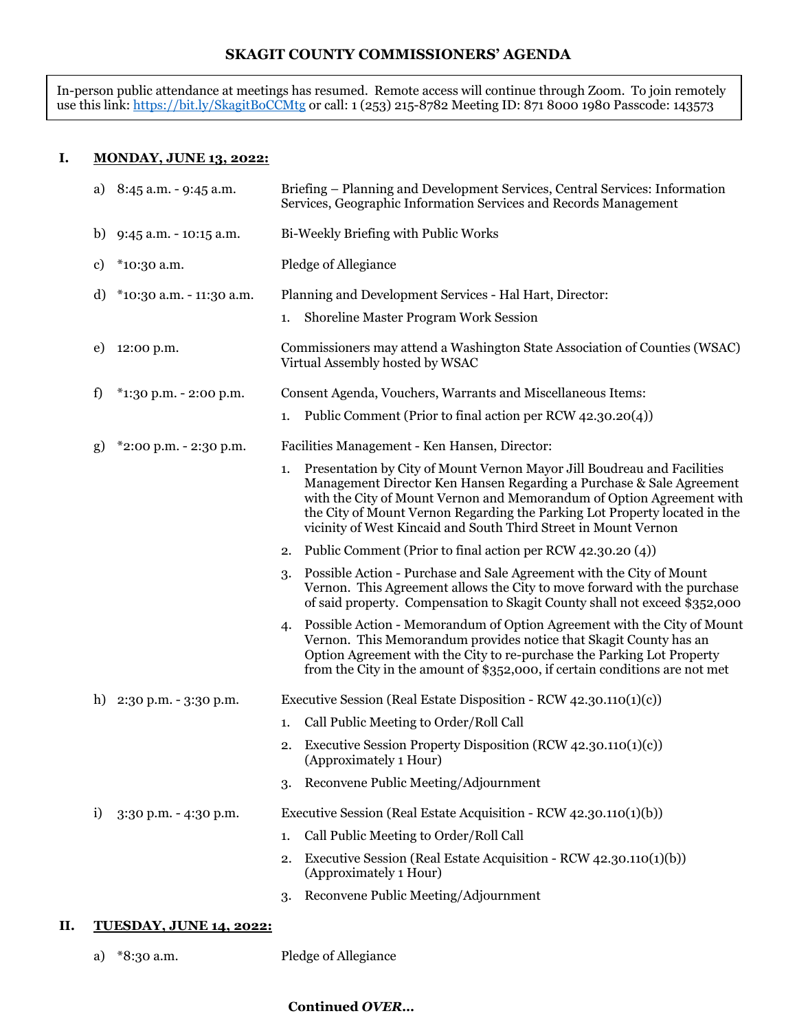### **SKAGIT COUNTY COMMISSIONERS' AGENDA**

In-person public attendance at meetings has resumed. Remote access will continue through Zoom. To join remotely use this link: <u>https://bit.ly/SkagitBoCCMt</u>g or call: 1 (253) 215-8782 Meeting ID: 871 8000 1980 Passcode: 143573

### **I. MONDAY, JUNE 13, 2022:**

|    | a) $8:45$ a.m. $-9:45$ a.m.                | Briefing – Planning and Development Services, Central Services: Information<br>Services, Geographic Information Services and Records Management                                                                                                                                                                                                                                 |  |
|----|--------------------------------------------|---------------------------------------------------------------------------------------------------------------------------------------------------------------------------------------------------------------------------------------------------------------------------------------------------------------------------------------------------------------------------------|--|
|    | b) $9:45$ a.m. $-10:15$ a.m.               | Bi-Weekly Briefing with Public Works                                                                                                                                                                                                                                                                                                                                            |  |
| c) | *10:30 a.m.                                | Pledge of Allegiance                                                                                                                                                                                                                                                                                                                                                            |  |
| d) | *10:30 a.m. - 11:30 a.m.                   | Planning and Development Services - Hal Hart, Director:                                                                                                                                                                                                                                                                                                                         |  |
|    |                                            | Shoreline Master Program Work Session<br>1.                                                                                                                                                                                                                                                                                                                                     |  |
| e) | 12:00 p.m.                                 | Commissioners may attend a Washington State Association of Counties (WSAC)<br>Virtual Assembly hosted by WSAC                                                                                                                                                                                                                                                                   |  |
| f) | *1:30 p.m. - 2:00 p.m.                     | Consent Agenda, Vouchers, Warrants and Miscellaneous Items:                                                                                                                                                                                                                                                                                                                     |  |
|    |                                            | Public Comment (Prior to final action per RCW 42.30.20(4))<br>1.                                                                                                                                                                                                                                                                                                                |  |
| g) | *2:00 p.m. - 2:30 p.m.                     | Facilities Management - Ken Hansen, Director:                                                                                                                                                                                                                                                                                                                                   |  |
|    |                                            | Presentation by City of Mount Vernon Mayor Jill Boudreau and Facilities<br>1.<br>Management Director Ken Hansen Regarding a Purchase & Sale Agreement<br>with the City of Mount Vernon and Memorandum of Option Agreement with<br>the City of Mount Vernon Regarding the Parking Lot Property located in the<br>vicinity of West Kincaid and South Third Street in Mount Vernon |  |
|    |                                            | Public Comment (Prior to final action per RCW 42.30.20 (4))<br>2.                                                                                                                                                                                                                                                                                                               |  |
|    |                                            | Possible Action - Purchase and Sale Agreement with the City of Mount<br>3.<br>Vernon. This Agreement allows the City to move forward with the purchase<br>of said property. Compensation to Skagit County shall not exceed \$352,000                                                                                                                                            |  |
|    |                                            | Possible Action - Memorandum of Option Agreement with the City of Mount<br>4.<br>Vernon. This Memorandum provides notice that Skagit County has an<br>Option Agreement with the City to re-purchase the Parking Lot Property<br>from the City in the amount of \$352,000, if certain conditions are not met                                                                     |  |
|    | h) $2:30 \text{ p.m.} - 3:30 \text{ p.m.}$ | Executive Session (Real Estate Disposition - RCW 42.30.110(1)(c))                                                                                                                                                                                                                                                                                                               |  |
|    |                                            | Call Public Meeting to Order/Roll Call<br>1.                                                                                                                                                                                                                                                                                                                                    |  |
|    |                                            | Executive Session Property Disposition (RCW 42.30.110(1)(c))<br>2.<br>(Approximately 1 Hour)                                                                                                                                                                                                                                                                                    |  |
|    |                                            | Reconvene Public Meeting/Adjournment<br>3.                                                                                                                                                                                                                                                                                                                                      |  |
| i) | 3:30 p.m. - 4:30 p.m.                      | Executive Session (Real Estate Acquisition - RCW 42.30.110(1)(b))                                                                                                                                                                                                                                                                                                               |  |
|    |                                            | Call Public Meeting to Order/Roll Call<br>1.                                                                                                                                                                                                                                                                                                                                    |  |
|    |                                            | Executive Session (Real Estate Acquisition - RCW 42.30.110(1)(b))<br>2.<br>(Approximately 1 Hour)                                                                                                                                                                                                                                                                               |  |
|    |                                            | Reconvene Public Meeting/Adjournment<br>3.                                                                                                                                                                                                                                                                                                                                      |  |
|    |                                            |                                                                                                                                                                                                                                                                                                                                                                                 |  |

# **II. TUESDAY, JUNE 14, 2022:**

a) \*8:30 a.m. Pledge of Allegiance

#### **Continued** *OVER…*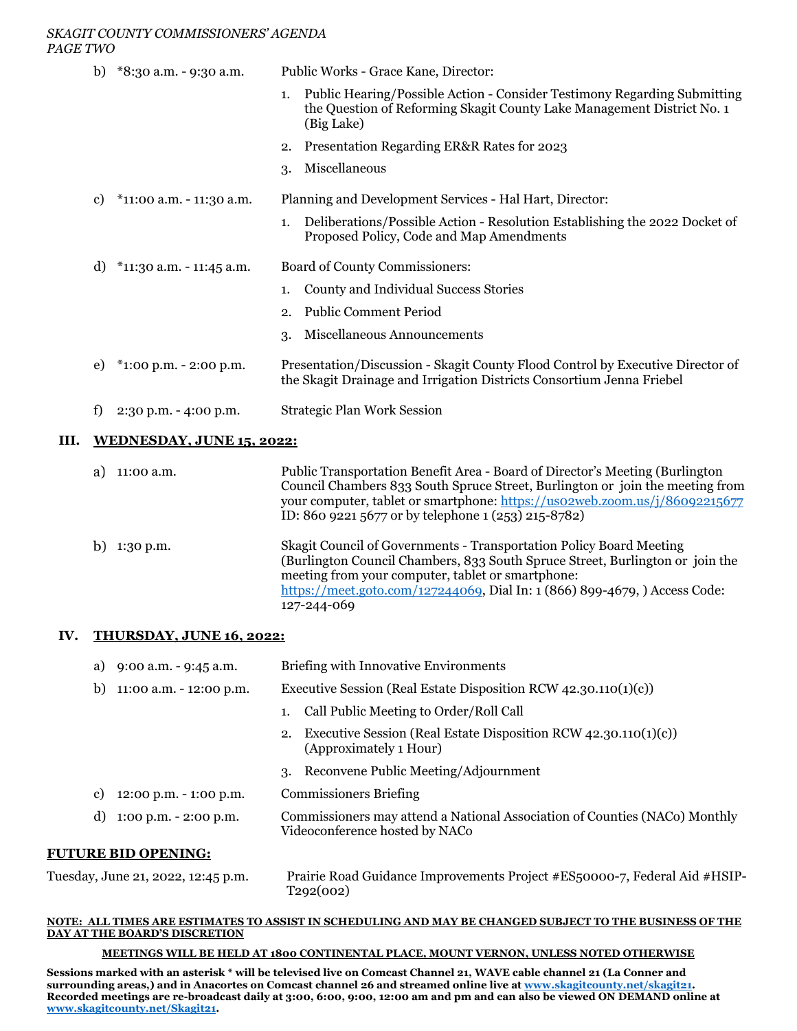#### *SKAGIT COUNTY COMMISSIONERS' AGENDA PAGE TWO*

| b) | *8:30 a.m. - 9:30 a.m.     | Public Works - Grace Kane, Director:                                                                                                                                   |  |
|----|----------------------------|------------------------------------------------------------------------------------------------------------------------------------------------------------------------|--|
|    |                            | Public Hearing/Possible Action - Consider Testimony Regarding Submitting<br>1.<br>the Question of Reforming Skagit County Lake Management District No. 1<br>(Big Lake) |  |
|    |                            | 2. Presentation Regarding ER&R Rates for 2023                                                                                                                          |  |
|    |                            | Miscellaneous<br>3.                                                                                                                                                    |  |
| C) | *11:00 a.m. - 11:30 a.m.   | Planning and Development Services - Hal Hart, Director:                                                                                                                |  |
|    |                            | Deliberations/Possible Action - Resolution Establishing the 2022 Docket of<br>1.<br>Proposed Policy, Code and Map Amendments                                           |  |
| d) | $*11:30$ a.m. - 11:45 a.m. | Board of County Commissioners:                                                                                                                                         |  |
|    |                            | County and Individual Success Stories<br>1.                                                                                                                            |  |
|    |                            | <b>Public Comment Period</b><br>2.                                                                                                                                     |  |
|    |                            | Miscellaneous Announcements<br>3.                                                                                                                                      |  |
| e) | $*1:00$ p.m. - 2:00 p.m.   | Presentation/Discussion - Skagit County Flood Control by Executive Director of<br>the Skagit Drainage and Irrigation Districts Consortium Jenna Friebel                |  |
| f  | $2:30$ p.m. $-4:00$ p.m.   | <b>Strategic Plan Work Session</b>                                                                                                                                     |  |
|    |                            |                                                                                                                                                                        |  |

#### **III. WEDNESDAY, JUNE 15, 2022:**

|    | 11:00 a.m. | Public Transportation Benefit Area - Board of Director's Meeting (Burlington)<br>Council Chambers 833 South Spruce Street, Burlington or join the meeting from<br>your computer, tablet or smartphone: https://uso2web.zoom.us/j/86092215677<br>ID: 860 9221 5677 or by telephone 1 (253) 215-8782)    |
|----|------------|--------------------------------------------------------------------------------------------------------------------------------------------------------------------------------------------------------------------------------------------------------------------------------------------------------|
| b) | 1:30 p.m.  | Skagit Council of Governments - Transportation Policy Board Meeting<br>(Burlington Council Chambers, 833 South Spruce Street, Burlington or join the<br>meeting from your computer, tablet or smartphone:<br>https://meet.goto.com/127244069, Dial In: 1 (866) 899-4679, ) Access Code:<br>127-244-069 |

# **IV. THURSDAY, JUNE 16, 2022:**

| $9:00$ a.m. $-9:45$ a.m.<br>a) |    | <b>Briefing with Innovative Environments</b>                                                                 |  |
|--------------------------------|----|--------------------------------------------------------------------------------------------------------------|--|
| 11:00 a.m. - 12:00 p.m.<br>b)  |    | Executive Session (Real Estate Disposition RCW $42.30.110(1)(c)$ )                                           |  |
|                                |    | Call Public Meeting to Order/Roll Call                                                                       |  |
|                                | 2. | Executive Session (Real Estate Disposition RCW $(42.30.110(1)(c))$ )<br>(Approximately 1 Hour)               |  |
|                                | 3. | Reconvene Public Meeting/Adjournment                                                                         |  |
| 12:00 p.m. - 1:00 p.m.<br>C)   |    | <b>Commissioners Briefing</b>                                                                                |  |
| 1:00 p.m. - 2:00 p.m.<br>d)    |    | Commissioners may attend a National Association of Counties (NACo) Monthly<br>Videoconference hosted by NACo |  |
| IRE RID OPENINC.               |    |                                                                                                              |  |

# **FUTURE BID OPENING:**

| Tuesday, June 21, 2022, 12:45 p.m. | Prairie Road Guidance Improvements Project #ES50000-7, Federal Aid #HSIP- |
|------------------------------------|---------------------------------------------------------------------------|
|                                    | T292(002)                                                                 |

#### **NOTE: ALL TIMES ARE ESTIMATES TO ASSIST IN SCHEDULING AND MAY BE CHANGED SUBJECT TO THE BUSINESS OF THE DAY AT THE BOARD'S DISCRETION**

#### **MEETINGS WILL BE HELD AT 1800 CONTINENTAL PLACE, MOUNT VERNON, UNLESS NOTED OTHERWISE**

**Sessions marked with an asterisk \* will be televised live on Comcast Channel 21, WAVE cable channel 21 (La Conner and surrounding areas,) and in Anacortes on Comcast channel 26 and streamed online live at [www.skagitcounty.net/skagit21.](http://www.skagitcounty.net/skagit21) Recorded meetings are re-broadcast daily at 3:00, 6:00, 9:00, 12:00 am and pm and can also be viewed ON DEMAND online at [www.skagitcounty.net/Skagit21.](http://www.skagitcounty.net/Skagit21)**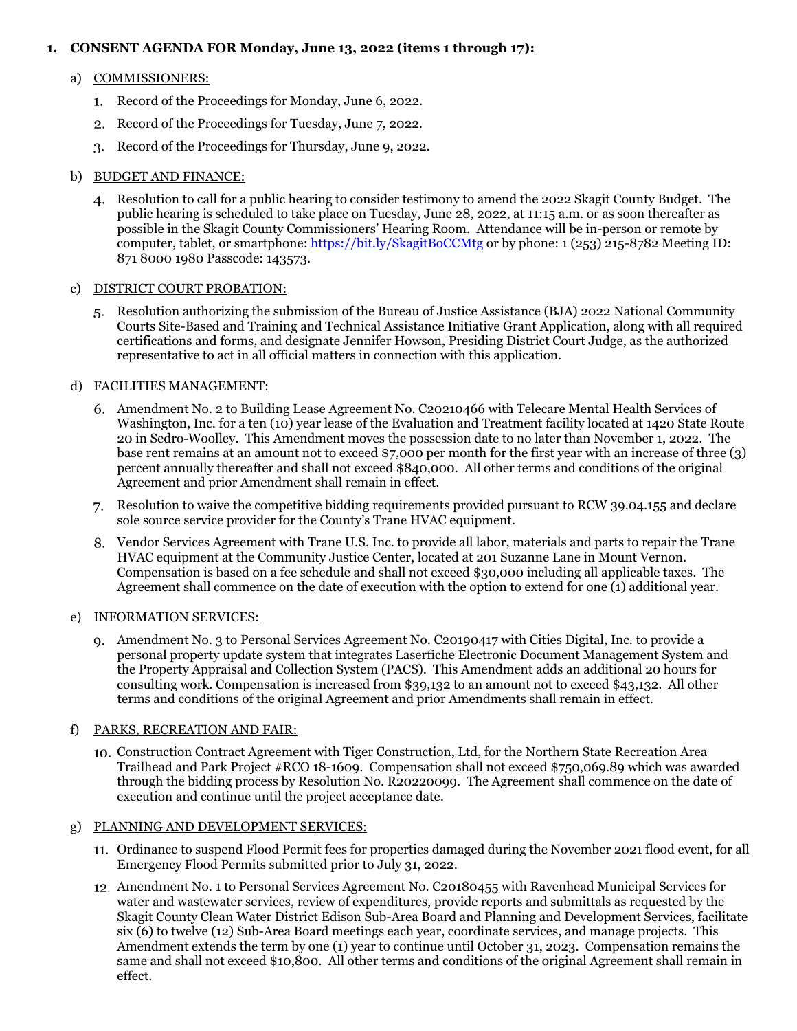# **1. CONSENT AGENDA FOR Monday, June 13, 2022 (items 1 through 17):**

#### a) COMMISSIONERS:

- 1. Record of the Proceedings for Monday, June 6, 2022.
- 2. Record of the Proceedings for Tuesday, June 7, 2022.
- Record of the Proceedings for Thursday, June 9, 2022.

### b) BUDGET AND FINANCE:

Resolution to call for a public hearing to consider testimony to amend the 2022 Skagit County Budget. The public hearing is scheduled to take place on Tuesday, June 28, 2022, at 11:15 a.m. or as soon thereafter as possible in the Skagit County Commissioners' Hearing Room. Attendance will be in-person or remote by computer, tablet, or smartphone:<https://bit.ly/SkagitBoCCMtg> or by phone: 1 (253) 215-8782 Meeting ID: 871 8000 1980 Passcode: 143573.

#### c) DISTRICT COURT PROBATION:

Resolution authorizing the submission of the Bureau of Justice Assistance (BJA) 2022 National Community Courts Site-Based and Training and Technical Assistance Initiative Grant Application, along with all required certifications and forms, and designate Jennifer Howson, Presiding District Court Judge, as the authorized representative to act in all official matters in connection with this application.

# d) FACILITIES MANAGEMENT:

- Amendment No. 2 to Building Lease Agreement No. C20210466 with Telecare Mental Health Services of Washington, Inc. for a ten (10) year lease of the Evaluation and Treatment facility located at 1420 State Route 20 in Sedro-Woolley. This Amendment moves the possession date to no later than November 1, 2022. The base rent remains at an amount not to exceed \$7,000 per month for the first year with an increase of three (3) percent annually thereafter and shall not exceed \$840,000. All other terms and conditions of the original Agreement and prior Amendment shall remain in effect.
- Resolution to waive the competitive bidding requirements provided pursuant to RCW 39.04.155 and declare sole source service provider for the County's Trane HVAC equipment.
- Vendor Services Agreement with Trane U.S. Inc. to provide all labor, materials and parts to repair the Trane HVAC equipment at the Community Justice Center, located at 201 Suzanne Lane in Mount Vernon. Compensation is based on a fee schedule and shall not exceed \$30,000 including all applicable taxes. The Agreement shall commence on the date of execution with the option to extend for one (1) additional year.

# e) INFORMATION SERVICES:

Amendment No. 3 to Personal Services Agreement No. C20190417 with Cities Digital, Inc. to provide a personal property update system that integrates Laserfiche Electronic Document Management System and the Property Appraisal and Collection System (PACS). This Amendment adds an additional 20 hours for consulting work. Compensation is increased from \$39,132 to an amount not to exceed \$43,132. All other terms and conditions of the original Agreement and prior Amendments shall remain in effect.

# f) PARKS, RECREATION AND FAIR:

Construction Contract Agreement with Tiger Construction, Ltd, for the Northern State Recreation Area Trailhead and Park Project #RCO 18-1609. Compensation shall not exceed \$750,069.89 which was awarded through the bidding process by Resolution No. R20220099. The Agreement shall commence on the date of execution and continue until the project acceptance date.

# g) PLANNING AND DEVELOPMENT SERVICES:

- Ordinance to suspend Flood Permit fees for properties damaged during the November 2021 flood event, for all Emergency Flood Permits submitted prior to July 31, 2022.
- Amendment No. 1 to Personal Services Agreement No. C20180455 with Ravenhead Municipal Services for water and wastewater services, review of expenditures, provide reports and submittals as requested by the Skagit County Clean Water District Edison Sub-Area Board and Planning and Development Services, facilitate six (6) to twelve (12) Sub-Area Board meetings each year, coordinate services, and manage projects. This Amendment extends the term by one (1) year to continue until October 31, 2023. Compensation remains the same and shall not exceed \$10,800. All other terms and conditions of the original Agreement shall remain in effect.